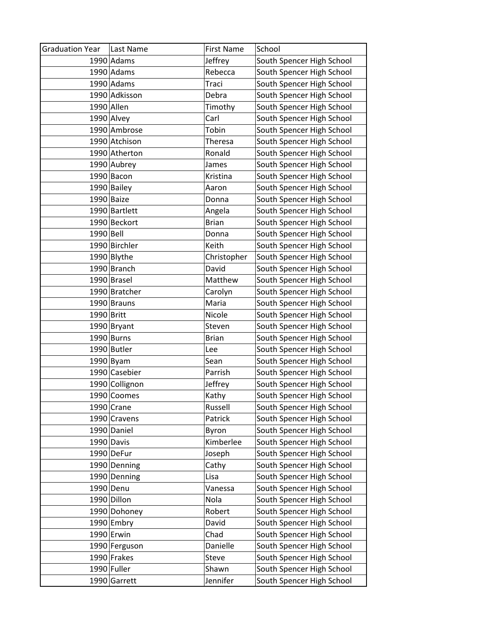| <b>Graduation Year</b> | Last Name      | <b>First Name</b> | School                    |
|------------------------|----------------|-------------------|---------------------------|
|                        | 1990 Adams     | Jeffrey           | South Spencer High School |
|                        | 1990 Adams     | Rebecca           | South Spencer High School |
|                        | $1990$ Adams   | Traci             | South Spencer High School |
|                        | 1990 Adkisson  | Debra             | South Spencer High School |
| 1990 Allen             |                | Timothy           | South Spencer High School |
|                        | 1990 Alvey     | Carl              | South Spencer High School |
|                        | 1990 Ambrose   | Tobin             | South Spencer High School |
|                        | 1990 Atchison  | Theresa           | South Spencer High School |
|                        | 1990 Atherton  | Ronald            | South Spencer High School |
|                        | 1990 Aubrey    | James             | South Spencer High School |
|                        | 1990 Bacon     | Kristina          | South Spencer High School |
|                        | 1990 Bailey    | Aaron             | South Spencer High School |
|                        | 1990 Baize     | Donna             | South Spencer High School |
|                        | 1990 Bartlett  | Angela            | South Spencer High School |
|                        | 1990 Beckort   | <b>Brian</b>      | South Spencer High School |
| 1990 Bell              |                | Donna             | South Spencer High School |
|                        | 1990 Birchler  | Keith             | South Spencer High School |
|                        | 1990 Blythe    | Christopher       | South Spencer High School |
|                        | 1990 Branch    | David             | South Spencer High School |
|                        | 1990 Brasel    | Matthew           | South Spencer High School |
|                        | 1990 Bratcher  | Carolyn           | South Spencer High School |
|                        | 1990 Brauns    | Maria             | South Spencer High School |
| 1990 Britt             |                | Nicole            | South Spencer High School |
|                        | 1990 Bryant    | Steven            | South Spencer High School |
|                        | $1990$ Burns   | <b>Brian</b>      | South Spencer High School |
|                        | 1990 Butler    | Lee               | South Spencer High School |
|                        | $1990$ Byam    | Sean              | South Spencer High School |
|                        | 1990 Casebier  | Parrish           | South Spencer High School |
|                        | 1990 Collignon | Jeffrey           | South Spencer High School |
|                        | 1990 Coomes    | Kathy             | South Spencer High School |
|                        | 1990 Crane     | Russell           | South Spencer High School |
|                        | 1990 Cravens   | Patrick           | South Spencer High School |
|                        | 1990 Daniel    | Byron             | South Spencer High School |
|                        | 1990 Davis     | Kimberlee         | South Spencer High School |
|                        | 1990 DeFur     | Joseph            | South Spencer High School |
|                        | 1990 Denning   | Cathy             | South Spencer High School |
|                        | 1990 Denning   | Lisa              | South Spencer High School |
|                        | 1990 Denu      | Vanessa           | South Spencer High School |
|                        | 1990 Dillon    | Nola              | South Spencer High School |
|                        | 1990 Dohoney   | Robert            | South Spencer High School |
|                        | 1990 Embry     | David             | South Spencer High School |
|                        | $1990$ Erwin   | Chad              | South Spencer High School |
|                        | 1990 Ferguson  | Danielle          | South Spencer High School |
|                        | 1990 Frakes    | Steve             | South Spencer High School |
|                        | 1990 Fuller    | Shawn             | South Spencer High School |
|                        | 1990 Garrett   | Jennifer          | South Spencer High School |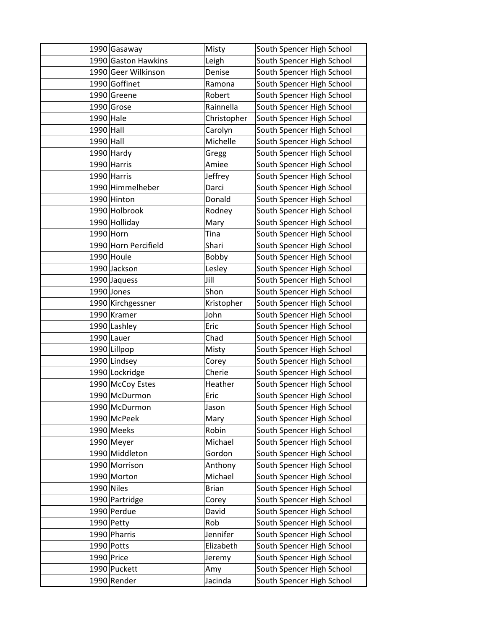|              | 1990 Gasaway         | Misty        | South Spencer High School |
|--------------|----------------------|--------------|---------------------------|
|              | 1990 Gaston Hawkins  | Leigh        | South Spencer High School |
|              | 1990 Geer Wilkinson  | Denise       | South Spencer High School |
|              | 1990 Goffinet        | Ramona       | South Spencer High School |
|              | 1990 Greene          | Robert       | South Spencer High School |
|              | 1990 Grose           | Rainnella    | South Spencer High School |
| 1990 Hale    |                      | Christopher  | South Spencer High School |
| $1990$ Hall  |                      | Carolyn      | South Spencer High School |
| 1990 Hall    |                      | Michelle     | South Spencer High School |
|              | 1990 Hardy           | Gregg        | South Spencer High School |
|              | 1990 Harris          | Amiee        | South Spencer High School |
|              | 1990 Harris          | Jeffrey      | South Spencer High School |
|              | 1990 Himmelheber     | Darci        | South Spencer High School |
|              | 1990 Hinton          | Donald       | South Spencer High School |
|              | 1990 Holbrook        | Rodney       | South Spencer High School |
|              | 1990 Holliday        | Mary         | South Spencer High School |
| 1990 Horn    |                      | Tina         | South Spencer High School |
|              | 1990 Horn Percifield | Shari        | South Spencer High School |
|              | $1990$ Houle         | Bobby        | South Spencer High School |
|              | 1990 Jackson         | Lesley       | South Spencer High School |
|              | 1990 Jaquess         | Jill         | South Spencer High School |
|              | 1990 Jones           | Shon         | South Spencer High School |
|              | 1990 Kirchgessner    | Kristopher   | South Spencer High School |
|              | 1990 Kramer          | John         | South Spencer High School |
|              | 1990 Lashley         | Eric         | South Spencer High School |
|              | $1990$ Lauer         | Chad         | South Spencer High School |
|              | 1990 Lillpop         | Misty        | South Spencer High School |
|              | 1990 Lindsey         | Corey        | South Spencer High School |
|              | 1990 Lockridge       | Cherie       | South Spencer High School |
|              | 1990 McCoy Estes     | Heather      | South Spencer High School |
|              | 1990 McDurmon        | Eric         | South Spencer High School |
|              | 1990 McDurmon        | Jason        | South Spencer High School |
|              | 1990 McPeek          | Mary         | South Spencer High School |
|              | 1990 Meeks           | Robin        | South Spencer High School |
|              | 1990 Meyer           | Michael      | South Spencer High School |
|              | 1990 Middleton       | Gordon       | South Spencer High School |
|              | 1990 Morrison        | Anthony      | South Spencer High School |
|              | 1990 Morton          | Michael      | South Spencer High School |
| $1990$ Niles |                      | <b>Brian</b> | South Spencer High School |
|              | 1990 Partridge       | Corey        | South Spencer High School |
|              | 1990 Perdue          | David        | South Spencer High School |
|              | 1990 Petty           | Rob          | South Spencer High School |
|              | 1990 Pharris         | Jennifer     | South Spencer High School |
|              | 1990 Potts           | Elizabeth    | South Spencer High School |
| 1990 Price   |                      | Jeremy       | South Spencer High School |
|              | 1990 Puckett         | Amy          | South Spencer High School |
|              | 1990 Render          | Jacinda      | South Spencer High School |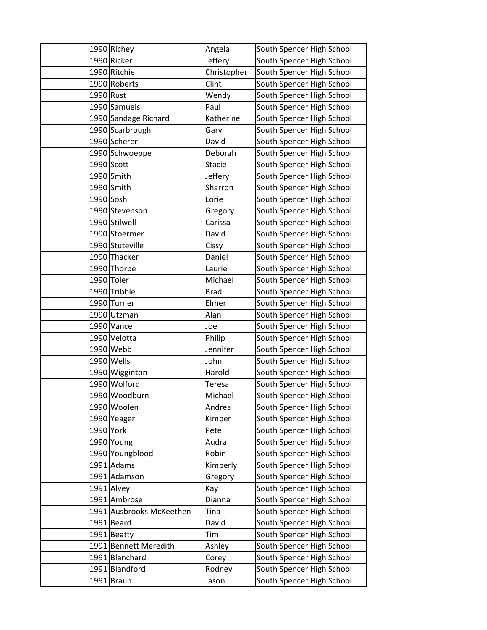|             | 1990 Richey              | Angela        | South Spencer High School |
|-------------|--------------------------|---------------|---------------------------|
|             | 1990 Ricker              | Jeffery       | South Spencer High School |
|             | 1990 Ritchie             | Christopher   | South Spencer High School |
|             | 1990 Roberts             | Clint         | South Spencer High School |
| 1990 Rust   |                          | Wendy         | South Spencer High School |
|             | 1990 Samuels             | Paul          | South Spencer High School |
|             | 1990 Sandage Richard     | Katherine     | South Spencer High School |
|             | 1990 Scarbrough          | Gary          | South Spencer High School |
|             | 1990 Scherer             | David         | South Spencer High School |
|             | 1990 Schwoeppe           | Deborah       | South Spencer High School |
|             | $1990$ Scott             | <b>Stacie</b> | South Spencer High School |
|             | $1990$ Smith             | Jeffery       | South Spencer High School |
|             | 1990 Smith               | Sharron       | South Spencer High School |
| $1990$ Sosh |                          | Lorie         | South Spencer High School |
|             | 1990 Stevenson           | Gregory       | South Spencer High School |
|             | 1990 Stilwell            | Carissa       | South Spencer High School |
|             | 1990 Stoermer            | David         | South Spencer High School |
|             | 1990 Stuteville          | Cissy         | South Spencer High School |
|             | 1990 Thacker             | Daniel        | South Spencer High School |
|             | 1990 Thorpe              | Laurie        | South Spencer High School |
|             | 1990 Toler               | Michael       | South Spencer High School |
|             | 1990 Tribble             | <b>Brad</b>   | South Spencer High School |
|             | 1990 Turner              | Elmer         | South Spencer High School |
|             | 1990 Utzman              | Alan          | South Spencer High School |
|             | 1990 Vance               | Joe           | South Spencer High School |
|             | 1990 Velotta             | Philip        | South Spencer High School |
|             | 1990 Webb                | Jennifer      | South Spencer High School |
|             | $1990$ Wells             | John          | South Spencer High School |
|             | 1990 Wigginton           | Harold        | South Spencer High School |
|             | 1990 Wolford             | Teresa        | South Spencer High School |
|             | 1990 Woodburn            | Michael       | South Spencer High School |
|             | 1990 Woolen              | Andrea        | South Spencer High School |
|             | 1990 Yeager              | Kimber        | South Spencer High School |
| 1990 York   |                          | Pete          | South Spencer High School |
|             | 1990 Young               | Audra         | South Spencer High School |
|             | 1990 Youngblood          | Robin         | South Spencer High School |
|             | $1991$ Adams             | Kimberly      | South Spencer High School |
|             | 1991 Adamson             | Gregory       | South Spencer High School |
|             | $1991$ Alvey             | Kay           | South Spencer High School |
|             | 1991 Ambrose             | Dianna        | South Spencer High School |
|             | 1991 Ausbrooks McKeethen | Tina          | South Spencer High School |
|             | $1991$ Beard             | David         | South Spencer High School |
|             | $1991$ Beatty            | Tim           | South Spencer High School |
|             | 1991 Bennett Meredith    | Ashley        | South Spencer High School |
|             | 1991 Blanchard           | Corey         | South Spencer High School |
|             | 1991 Blandford           | Rodney        | South Spencer High School |
|             | $1991$ Braun             | Jason         | South Spencer High School |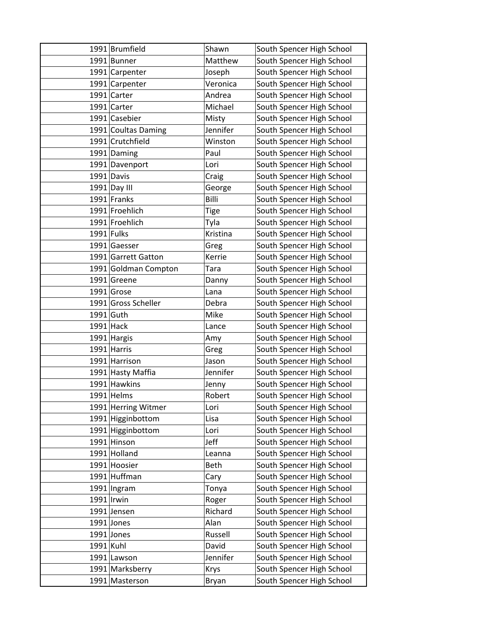|           | 1991 Brumfield       | Shawn       | South Spencer High School |
|-----------|----------------------|-------------|---------------------------|
|           | 1991 Bunner          | Matthew     | South Spencer High School |
|           | 1991 Carpenter       | Joseph      | South Spencer High School |
|           | 1991 Carpenter       | Veronica    | South Spencer High School |
|           | 1991 Carter          | Andrea      | South Spencer High School |
|           | 1991 Carter          | Michael     | South Spencer High School |
|           | 1991 Casebier        | Misty       | South Spencer High School |
|           | 1991 Coultas Daming  | Jennifer    | South Spencer High School |
|           | 1991 Crutchfield     | Winston     | South Spencer High School |
|           | 1991 Daming          | Paul        | South Spencer High School |
|           | 1991 Davenport       | Lori        | South Spencer High School |
|           | 1991 Davis           | Craig       | South Spencer High School |
|           | 1991 Day III         | George      | South Spencer High School |
|           | 1991 Franks          | Billi       | South Spencer High School |
|           | 1991 Froehlich       | <b>Tige</b> | South Spencer High School |
|           | 1991 Froehlich       | Tyla        | South Spencer High School |
|           | 1991 Fulks           | Kristina    | South Spencer High School |
|           | 1991 Gaesser         | Greg        | South Spencer High School |
|           | 1991 Garrett Gatton  | Kerrie      | South Spencer High School |
|           | 1991 Goldman Compton | Tara        | South Spencer High School |
|           | 1991 Greene          | Danny       | South Spencer High School |
|           | 1991 Grose           | Lana        | South Spencer High School |
|           | 1991 Gross Scheller  | Debra       | South Spencer High School |
|           | $1991$ Guth          | Mike        | South Spencer High School |
|           | $1991$ Hack          | Lance       | South Spencer High School |
|           | 1991 Hargis          | Amy         | South Spencer High School |
|           | 1991 Harris          | Greg        | South Spencer High School |
|           | 1991 Harrison        | Jason       | South Spencer High School |
|           | 1991 Hasty Maffia    | Jennifer    | South Spencer High School |
|           | 1991 Hawkins         | Jenny       | South Spencer High School |
|           | 1991 Helms           | Robert      | South Spencer High School |
|           | 1991 Herring Witmer  | Lori        | South Spencer High School |
|           | 1991 Higginbottom    | Lisa        | South Spencer High School |
|           | 1991 Higginbottom    | Lori        | South Spencer High School |
|           | 1991 Hinson          | Jeff        | South Spencer High School |
|           | 1991 Holland         | Leanna      | South Spencer High School |
|           | 1991 Hoosier         | <b>Beth</b> | South Spencer High School |
|           | 1991 Huffman         | Cary        | South Spencer High School |
|           | 1991 Ingram          | Tonya       | South Spencer High School |
|           | $1991$  Irwin        | Roger       | South Spencer High School |
|           | 1991 Jensen          | Richard     | South Spencer High School |
|           | $1991$ Jones         | Alan        | South Spencer High School |
|           | $1991$ Jones         | Russell     | South Spencer High School |
| 1991 Kuhl |                      | David       | South Spencer High School |
|           | 1991 Lawson          | Jennifer    | South Spencer High School |
|           | 1991 Marksberry      | Krys        | South Spencer High School |
|           | 1991 Masterson       | Bryan       | South Spencer High School |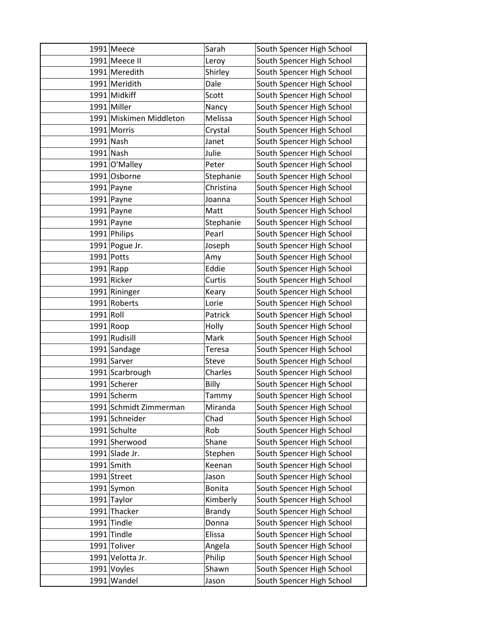|           | $1991$ Meece            | Sarah         | South Spencer High School |
|-----------|-------------------------|---------------|---------------------------|
|           | 1991 Meece II           | Leroy         | South Spencer High School |
|           | 1991 Meredith           | Shirley       | South Spencer High School |
|           | 1991 Meridith           | Dale          | South Spencer High School |
|           | 1991 Midkiff            | Scott         | South Spencer High School |
|           | 1991 Miller             | Nancy         | South Spencer High School |
|           | 1991 Miskimen Middleton | Melissa       | South Spencer High School |
|           | 1991 Morris             | Crystal       | South Spencer High School |
|           | 1991 Nash               | Janet         | South Spencer High School |
|           | 1991 Nash               | Julie         | South Spencer High School |
|           | 1991 O'Malley           | Peter         | South Spencer High School |
|           | 1991 Osborne            | Stephanie     | South Spencer High School |
|           | $1991$ Payne            | Christina     | South Spencer High School |
|           | 1991 Payne              | Joanna        | South Spencer High School |
|           | $1991$ Payne            | Matt          | South Spencer High School |
|           | 1991 Payne              | Stephanie     | South Spencer High School |
|           | 1991 Philips            | Pearl         | South Spencer High School |
|           | 1991 Pogue Jr.          | Joseph        | South Spencer High School |
|           | 1991 Potts              | Amy           | South Spencer High School |
|           | $1991$ Rapp             | Eddie         | South Spencer High School |
|           | 1991 Ricker             | Curtis        | South Spencer High School |
|           | 1991 Rininger           | Keary         | South Spencer High School |
|           | 1991 Roberts            | Lorie         | South Spencer High School |
| 1991 Roll |                         | Patrick       | South Spencer High School |
|           | $1991$ Roop             | Holly         | South Spencer High School |
|           | 1991 Rudisill           | Mark          | South Spencer High School |
|           | 1991 Sandage            | Teresa        | South Spencer High School |
|           | 1991 Sarver             | <b>Steve</b>  | South Spencer High School |
|           | 1991 Scarbrough         | Charles       | South Spencer High School |
|           | 1991 Scherer            | Billy         | South Spencer High School |
|           | 1991 Scherm             | Tammy         | South Spencer High School |
|           | 1991 Schmidt Zimmerman  | Miranda       | South Spencer High School |
|           | 1991 Schneider          | Chad          | South Spencer High School |
|           | 1991 Schulte            | Rob           | South Spencer High School |
|           | 1991 Sherwood           | Shane         | South Spencer High School |
|           | 1991 Slade Jr.          | Stephen       | South Spencer High School |
|           | $1991$ Smith            | Keenan        | South Spencer High School |
|           | 1991 Street             | Jason         | South Spencer High School |
|           | 1991 Symon              | <b>Bonita</b> | South Spencer High School |
|           | 1991 Taylor             | Kimberly      | South Spencer High School |
|           | 1991 Thacker            | <b>Brandy</b> | South Spencer High School |
|           | 1991 Tindle             | Donna         | South Spencer High School |
|           | 1991 Tindle             | Elissa        | South Spencer High School |
|           | 1991 Toliver            | Angela        | South Spencer High School |
|           | 1991 Velotta Jr.        | Philip        | South Spencer High School |
|           | 1991 Voyles             | Shawn         | South Spencer High School |
|           | 1991 Wandel             | Jason         | South Spencer High School |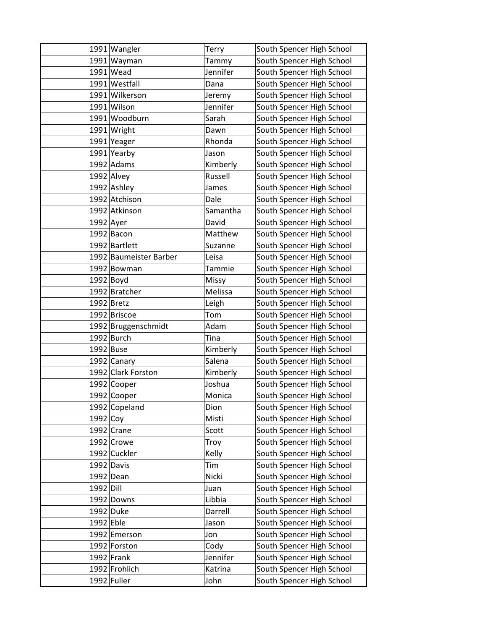|             | 1991 Wangler           | Terry    | South Spencer High School |
|-------------|------------------------|----------|---------------------------|
|             | 1991 Wayman            | Tammy    | South Spencer High School |
|             | $1991$ Wead            | Jennifer | South Spencer High School |
|             | 1991 Westfall          | Dana     | South Spencer High School |
|             | 1991 Wilkerson         | Jeremy   | South Spencer High School |
|             | 1991 Wilson            | Jennifer | South Spencer High School |
|             | 1991 Woodburn          | Sarah    | South Spencer High School |
|             | 1991 Wright            | Dawn     | South Spencer High School |
|             | 1991 Yeager            | Rhonda   | South Spencer High School |
|             | 1991 Yearby            | Jason    | South Spencer High School |
|             | 1992 Adams             | Kimberly | South Spencer High School |
|             | $1992$ Alvey           | Russell  | South Spencer High School |
|             | 1992 Ashley            | James    | South Spencer High School |
|             | 1992 Atchison          | Dale     | South Spencer High School |
|             | 1992 Atkinson          | Samantha | South Spencer High School |
| $1992$ Ayer |                        | David    | South Spencer High School |
|             | 1992 Bacon             | Matthew  | South Spencer High School |
|             | 1992 Bartlett          | Suzanne  | South Spencer High School |
|             | 1992 Baumeister Barber | Leisa    | South Spencer High School |
|             | 1992 Bowman            | Tammie   | South Spencer High School |
|             | $1992$ Boyd            | Missy    | South Spencer High School |
|             | 1992 Bratcher          | Melissa  | South Spencer High School |
|             | 1992 Bretz             | Leigh    | South Spencer High School |
|             | 1992 Briscoe           | Tom      | South Spencer High School |
|             | 1992 Bruggenschmidt    | Adam     | South Spencer High School |
|             | $1992$ Burch           | Tina     | South Spencer High School |
| $1992$ Buse |                        | Kimberly | South Spencer High School |
|             | 1992 Canary            | Salena   | South Spencer High School |
|             | 1992 Clark Forston     | Kimberly | South Spencer High School |
|             | 1992 Cooper            | Joshua   | South Spencer High School |
|             | 1992 Cooper            | Monica   | South Spencer High School |
|             | 1992 Copeland          | Dion     | South Spencer High School |
| 1992 Coy    |                        | Misti    | South Spencer High School |
|             | $1992$ Crane           | Scott    | South Spencer High School |
|             | $1992$ Crowe           | Troy     | South Spencer High School |
|             | 1992 Cuckler           | Kelly    | South Spencer High School |
|             | 1992 Davis             | Tim      | South Spencer High School |
|             | $1992$ Dean            | Nicki    | South Spencer High School |
| 1992 Dill   |                        | Juan     | South Spencer High School |
|             | 1992 Downs             | Libbia   | South Spencer High School |
|             | 1992 Duke              | Darrell  | South Spencer High School |
| $1992$ Eble |                        | Jason    | South Spencer High School |
|             | 1992 Emerson           | Jon      | South Spencer High School |
|             | 1992 Forston           | Cody     | South Spencer High School |
|             | $1992$ Frank           | Jennifer | South Spencer High School |
|             | 1992 Frohlich          | Katrina  | South Spencer High School |
|             | 1992 Fuller            | John     | South Spencer High School |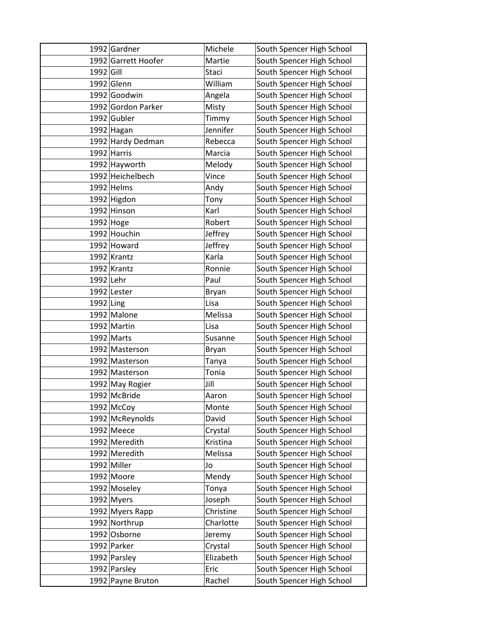|           | 1992 Gardner        | Michele   | South Spencer High School |
|-----------|---------------------|-----------|---------------------------|
|           | 1992 Garrett Hoofer | Martie    | South Spencer High School |
| 1992 Gill |                     | Staci     | South Spencer High School |
|           | $1992$ Glenn        | William   | South Spencer High School |
|           | 1992 Goodwin        | Angela    | South Spencer High School |
|           | 1992 Gordon Parker  | Misty     | South Spencer High School |
|           | 1992 Gubler         | Timmy     | South Spencer High School |
|           | 1992 Hagan          | Jennifer  | South Spencer High School |
|           | 1992 Hardy Dedman   | Rebecca   | South Spencer High School |
|           | 1992 Harris         | Marcia    | South Spencer High School |
|           | 1992 Hayworth       | Melody    | South Spencer High School |
|           | 1992 Heichelbech    | Vince     | South Spencer High School |
|           | 1992 Helms          | Andy      | South Spencer High School |
|           | 1992 Higdon         | Tony      | South Spencer High School |
|           | 1992 Hinson         | Karl      | South Spencer High School |
|           | 1992 Hoge           | Robert    | South Spencer High School |
|           | 1992 Houchin        | Jeffrey   | South Spencer High School |
|           | 1992 Howard         | Jeffrey   | South Spencer High School |
|           | $1992$ Krantz       | Karla     | South Spencer High School |
|           | 1992 Krantz         | Ronnie    | South Spencer High School |
| 1992 Lehr |                     | Paul      | South Spencer High School |
|           | 1992 Lester         | Bryan     | South Spencer High School |
| 1992 Ling |                     | Lisa      | South Spencer High School |
|           | 1992 Malone         | Melissa   | South Spencer High School |
|           | 1992 Martin         | Lisa      | South Spencer High School |
|           | 1992 Marts          | Susanne   | South Spencer High School |
|           | 1992 Masterson      | Bryan     | South Spencer High School |
|           | 1992 Masterson      | Tanya     | South Spencer High School |
|           | 1992 Masterson      | Tonia     | South Spencer High School |
|           | 1992 May Rogier     | Jill      | South Spencer High School |
|           | 1992 McBride        | Aaron     | South Spencer High School |
|           | 1992 McCoy          | Monte     | South Spencer High School |
|           | 1992 McReynolds     | David     | South Spencer High School |
|           | $1992$ Meece        | Crystal   | South Spencer High School |
|           | 1992 Meredith       | Kristina  | South Spencer High School |
|           | 1992 Meredith       | Melissa   | South Spencer High School |
|           | 1992 Miller         | Jo        | South Spencer High School |
|           | 1992 Moore          | Mendy     | South Spencer High School |
|           | 1992 Moseley        | Tonya     | South Spencer High School |
|           | 1992 Myers          | Joseph    | South Spencer High School |
|           | 1992 Myers Rapp     | Christine | South Spencer High School |
|           | 1992 Northrup       | Charlotte | South Spencer High School |
|           | 1992 Osborne        | Jeremy    | South Spencer High School |
|           | 1992 Parker         | Crystal   | South Spencer High School |
|           | 1992 Parsley        | Elizabeth | South Spencer High School |
|           | 1992 Parsley        | Eric      | South Spencer High School |
|           | 1992 Payne Bruton   | Rachel    | South Spencer High School |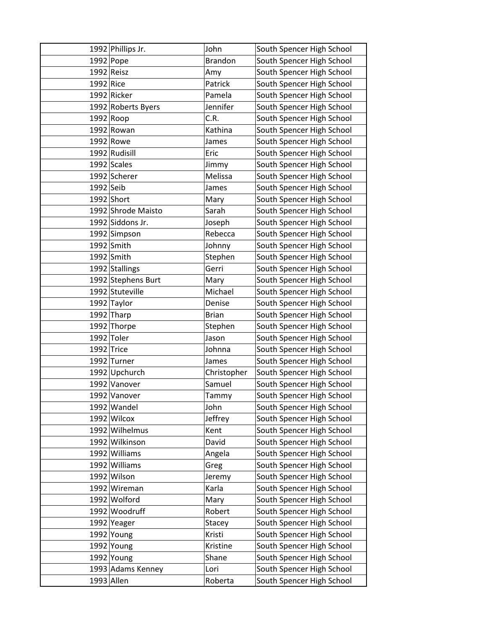|             | 1992 Phillips Jr.  | John           | South Spencer High School |
|-------------|--------------------|----------------|---------------------------|
|             | $1992$ Pope        | <b>Brandon</b> | South Spencer High School |
|             | 1992 Reisz         | Amy            | South Spencer High School |
| 1992 Rice   |                    | Patrick        | South Spencer High School |
|             | 1992 Ricker        | Pamela         | South Spencer High School |
|             | 1992 Roberts Byers | Jennifer       | South Spencer High School |
|             | $1992$ Roop        | C.R.           | South Spencer High School |
|             | 1992 Rowan         | Kathina        | South Spencer High School |
|             | 1992 Rowe          | James          | South Spencer High School |
|             | 1992 Rudisill      | Eric           | South Spencer High School |
|             | 1992 Scales        | Jimmy          | South Spencer High School |
|             | 1992 Scherer       | Melissa        | South Spencer High School |
| $1992$ Seib |                    | James          | South Spencer High School |
|             | $1992$ Short       | Mary           | South Spencer High School |
|             | 1992 Shrode Maisto | Sarah          | South Spencer High School |
|             | 1992 Siddons Jr.   | Joseph         | South Spencer High School |
|             | 1992 Simpson       | Rebecca        | South Spencer High School |
|             | $1992$ Smith       | Johnny         | South Spencer High School |
|             | $1992$ Smith       | Stephen        | South Spencer High School |
|             | 1992 Stallings     | Gerri          | South Spencer High School |
|             | 1992 Stephens Burt | Mary           | South Spencer High School |
|             | 1992 Stuteville    | Michael        | South Spencer High School |
|             | 1992 Taylor        | Denise         | South Spencer High School |
|             | $1992$ Tharp       | <b>Brian</b>   | South Spencer High School |
|             | 1992 Thorpe        | Stephen        | South Spencer High School |
|             | 1992 Toler         | Jason          | South Spencer High School |
|             | $1992$ Trice       | Johnna         | South Spencer High School |
|             | 1992 Turner        | James          | South Spencer High School |
|             | 1992 Upchurch      | Christopher    | South Spencer High School |
|             | 1992 Vanover       | Samuel         | South Spencer High School |
|             | 1992 Vanover       | Tammy          | South Spencer High School |
|             | 1992 Wandel        | John           | South Spencer High School |
|             | 1992 Wilcox        | Jeffrey        | South Spencer High School |
|             | 1992 Wilhelmus     | Kent           | South Spencer High School |
|             | 1992 Wilkinson     | David          | South Spencer High School |
|             | 1992 Williams      | Angela         | South Spencer High School |
|             | 1992 Williams      | Greg           | South Spencer High School |
|             | 1992 Wilson        | Jeremy         | South Spencer High School |
|             | 1992 Wireman       | Karla          | South Spencer High School |
|             | 1992 Wolford       | Mary           | South Spencer High School |
|             | 1992 Woodruff      | Robert         | South Spencer High School |
|             | 1992 Yeager        | Stacey         | South Spencer High School |
|             | 1992 Young         | Kristi         | South Spencer High School |
|             | 1992 Young         | Kristine       | South Spencer High School |
|             | 1992 Young         | Shane          | South Spencer High School |
|             | 1993 Adams Kenney  | Lori           | South Spencer High School |
|             | 1993 Allen         | Roberta        | South Spencer High School |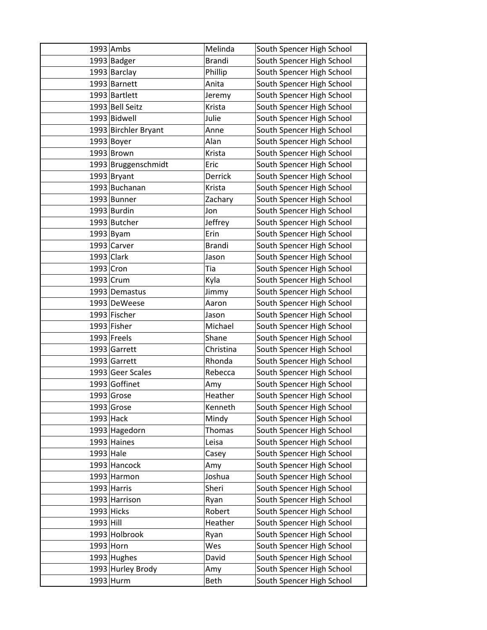|             | $1993$ Ambs          | Melinda       | South Spencer High School |
|-------------|----------------------|---------------|---------------------------|
|             | 1993 Badger          | <b>Brandi</b> | South Spencer High School |
|             | 1993 Barclay         | Phillip       | South Spencer High School |
|             | 1993 Barnett         | Anita         | South Spencer High School |
|             | 1993 Bartlett        | Jeremy        | South Spencer High School |
|             | 1993 Bell Seitz      | Krista        | South Spencer High School |
|             | 1993 Bidwell         | Julie         | South Spencer High School |
|             | 1993 Birchler Bryant | Anne          | South Spencer High School |
|             | $1993$ Boyer         | Alan          | South Spencer High School |
|             | $1993$ Brown         | Krista        | South Spencer High School |
|             | 1993 Bruggenschmidt  | Eric          | South Spencer High School |
|             | 1993 Bryant          | Derrick       | South Spencer High School |
|             | 1993 Buchanan        | Krista        | South Spencer High School |
|             | 1993 Bunner          | Zachary       | South Spencer High School |
|             | 1993 Burdin          | Jon           | South Spencer High School |
|             | 1993 Butcher         | Jeffrey       | South Spencer High School |
|             | $1993$ Byam          | Erin          | South Spencer High School |
|             | 1993 Carver          | <b>Brandi</b> | South Spencer High School |
|             | $1993$ Clark         | Jason         | South Spencer High School |
| 1993 Cron   |                      | Tia           | South Spencer High School |
|             | 1993 Crum            | Kyla          | South Spencer High School |
|             | 1993 Demastus        | Jimmy         | South Spencer High School |
|             | 1993 DeWeese         | Aaron         | South Spencer High School |
|             | 1993 Fischer         | Jason         | South Spencer High School |
|             | 1993 Fisher          | Michael       | South Spencer High School |
|             | $1993$ Freels        | Shane         | South Spencer High School |
|             | 1993 Garrett         | Christina     | South Spencer High School |
|             | 1993 Garrett         | Rhonda        | South Spencer High School |
|             | 1993 Geer Scales     | Rebecca       | South Spencer High School |
|             | 1993 Goffinet        | Amy           | South Spencer High School |
|             | 1993 Grose           | Heather       | South Spencer High School |
|             | 1993 Grose           | Kenneth       | South Spencer High School |
| $1993$ Hack |                      | Mindy         | South Spencer High School |
|             | 1993 Hagedorn        | Thomas        | South Spencer High School |
|             | 1993 Haines          | Leisa         | South Spencer High School |
| 1993 Hale   |                      | Casey         | South Spencer High School |
|             | 1993 Hancock         | Amy           | South Spencer High School |
|             | 1993 Harmon          | Joshua        | South Spencer High School |
|             | 1993 Harris          | Sheri         | South Spencer High School |
|             | 1993 Harrison        | Ryan          | South Spencer High School |
|             | 1993 Hicks           | Robert        | South Spencer High School |
| 1993 Hill   |                      | Heather       | South Spencer High School |
|             | 1993 Holbrook        | Ryan          | South Spencer High School |
| 1993 Horn   |                      | Wes           | South Spencer High School |
|             | $1993$ Hughes        | David         | South Spencer High School |
|             | 1993 Hurley Brody    | Amy           | South Spencer High School |
|             | 1993 Hurm            | Beth          | South Spencer High School |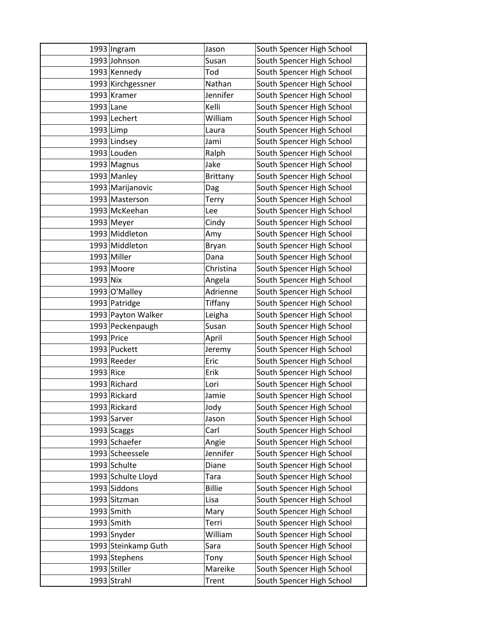|             | $1993$ Ingram       | Jason           | South Spencer High School |
|-------------|---------------------|-----------------|---------------------------|
|             | 1993 Johnson        | Susan           | South Spencer High School |
|             | 1993 Kennedy        | Tod             | South Spencer High School |
|             | 1993 Kirchgessner   | Nathan          | South Spencer High School |
|             | 1993 Kramer         | Jennifer        | South Spencer High School |
| 1993 Lane   |                     | Kelli           | South Spencer High School |
|             | 1993 Lechert        | William         | South Spencer High School |
| $1993$ Limp |                     | Laura           | South Spencer High School |
|             | 1993 Lindsey        | Jami            | South Spencer High School |
|             | 1993 Louden         | Ralph           | South Spencer High School |
|             | 1993 Magnus         | Jake            | South Spencer High School |
|             | 1993 Manley         | <b>Brittany</b> | South Spencer High School |
|             | 1993 Marijanovic    | Dag             | South Spencer High School |
|             | 1993 Masterson      | <b>Terry</b>    | South Spencer High School |
|             | 1993 McKeehan       | Lee             | South Spencer High School |
|             | $1993$ Meyer        | Cindy           | South Spencer High School |
|             | 1993 Middleton      | Amy             | South Spencer High School |
|             | 1993 Middleton      | Bryan           | South Spencer High School |
|             | 1993 Miller         | Dana            | South Spencer High School |
|             | 1993 Moore          | Christina       | South Spencer High School |
| 1993 Nix    |                     | Angela          | South Spencer High School |
|             | 1993 O'Malley       | Adrienne        | South Spencer High School |
|             | 1993 Patridge       | Tiffany         | South Spencer High School |
|             | 1993 Payton Walker  | Leigha          | South Spencer High School |
|             | 1993 Peckenpaugh    | Susan           | South Spencer High School |
| 1993 Price  |                     | April           | South Spencer High School |
|             | 1993 Puckett        | Jeremy          | South Spencer High School |
|             | 1993 Reeder         | Eric            | South Spencer High School |
| 1993 Rice   |                     | Erik            | South Spencer High School |
|             | 1993 Richard        | Lori            | South Spencer High School |
|             | 1993 Rickard        | Jamie           | South Spencer High School |
|             | 1993 Rickard        | Jody            | South Spencer High School |
|             | 1993 Sarver         | Jason           | South Spencer High School |
|             | $1993$ Scaggs       | Carl            | South Spencer High School |
|             | 1993 Schaefer       | Angie           | South Spencer High School |
|             | 1993 Scheessele     | Jennifer        | South Spencer High School |
|             | 1993 Schulte        | Diane           | South Spencer High School |
|             | 1993 Schulte Lloyd  | <b>Tara</b>     | South Spencer High School |
|             | 1993 Siddons        | <b>Billie</b>   | South Spencer High School |
|             | 1993 Sitzman        | Lisa            | South Spencer High School |
|             | 1993 Smith          | Mary            | South Spencer High School |
|             | $1993$ Smith        | Terri           | South Spencer High School |
|             | 1993 Snyder         | William         | South Spencer High School |
|             | 1993 Steinkamp Guth | Sara            | South Spencer High School |
|             | 1993 Stephens       | Tony            | South Spencer High School |
|             | $1993$ Stiller      | Mareike         | South Spencer High School |
|             | $1993$ Strahl       | Trent           | South Spencer High School |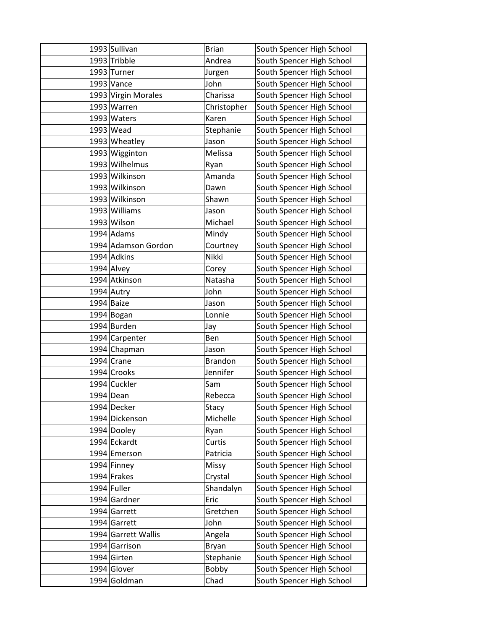| 1993 Sullivan       | <b>Brian</b>   | South Spencer High School |
|---------------------|----------------|---------------------------|
| 1993 Tribble        | Andrea         | South Spencer High School |
| $1993$ Turner       | Jurgen         | South Spencer High School |
| $1993$ Vance        | John           | South Spencer High School |
| 1993 Virgin Morales | Charissa       | South Spencer High School |
| 1993 Warren         | Christopher    | South Spencer High School |
| 1993 Waters         | Karen          | South Spencer High School |
| $1993$ Wead         | Stephanie      | South Spencer High School |
| 1993 Wheatley       | Jason          | South Spencer High School |
| 1993 Wigginton      | Melissa        | South Spencer High School |
| 1993 Wilhelmus      | Ryan           | South Spencer High School |
| 1993 Wilkinson      | Amanda         | South Spencer High School |
| 1993 Wilkinson      | Dawn           | South Spencer High School |
| 1993 Wilkinson      | Shawn          | South Spencer High School |
| 1993 Williams       | Jason          | South Spencer High School |
| 1993 Wilson         | Michael        | South Spencer High School |
| $1994$ Adams        | Mindy          | South Spencer High School |
| 1994 Adamson Gordon | Courtney       | South Spencer High School |
| 1994 Adkins         | Nikki          | South Spencer High School |
| $1994$ Alvey        | Corey          | South Spencer High School |
| 1994 Atkinson       | Natasha        | South Spencer High School |
| 1994 Autry          | John           | South Spencer High School |
| 1994 Baize          | Jason          | South Spencer High School |
| 1994 Bogan          | Lonnie         | South Spencer High School |
| 1994 Burden         | Jay            | South Spencer High School |
| 1994 Carpenter      | Ben            | South Spencer High School |
| 1994 Chapman        | Jason          | South Spencer High School |
| $1994$ Crane        | <b>Brandon</b> | South Spencer High School |
| 1994 Crooks         | Jennifer       | South Spencer High School |
| 1994 Cuckler        | Sam            | South Spencer High School |
| 1994 Dean           | Rebecca        | South Spencer High School |
| 1994 Decker         | Stacy          | South Spencer High School |
| 1994 Dickenson      | Michelle       | South Spencer High School |
| 1994 Dooley         | Ryan           | South Spencer High School |
| 1994 Eckardt        | Curtis         | South Spencer High School |
| 1994 Emerson        | Patricia       | South Spencer High School |
| 1994 Finney         | Missy          | South Spencer High School |
| $1994$ Frakes       | Crystal        | South Spencer High School |
| 1994 Fuller         | Shandalyn      | South Spencer High School |
| 1994 Gardner        | Eric           | South Spencer High School |
| 1994 Garrett        | Gretchen       | South Spencer High School |
| 1994 Garrett        | John           | South Spencer High School |
| 1994 Garrett Wallis | Angela         | South Spencer High School |
| 1994 Garrison       | Bryan          | South Spencer High School |
| 1994 Girten         | Stephanie      | South Spencer High School |
| 1994 Glover         | Bobby          | South Spencer High School |
| 1994 Goldman        | Chad           | South Spencer High School |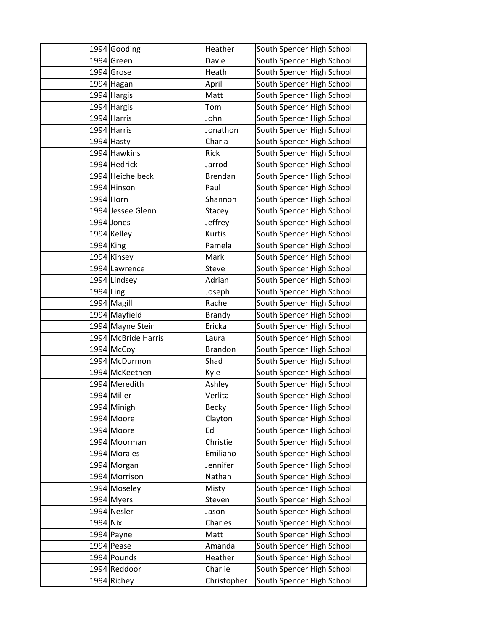|             | 1994 Gooding        | Heather        | South Spencer High School |
|-------------|---------------------|----------------|---------------------------|
|             | 1994 Green          | Davie          | South Spencer High School |
|             | 1994 Grose          | Heath          | South Spencer High School |
|             | 1994 Hagan          | April          | South Spencer High School |
|             | 1994 Hargis         | Matt           | South Spencer High School |
|             | 1994 Hargis         | Tom            | South Spencer High School |
|             | $1994$ Harris       | John           | South Spencer High School |
|             | 1994 Harris         | Jonathon       | South Spencer High School |
|             | 1994 Hasty          | Charla         | South Spencer High School |
|             | 1994 Hawkins        | <b>Rick</b>    | South Spencer High School |
|             | 1994 Hedrick        | Jarrod         | South Spencer High School |
|             | 1994 Heichelbeck    | Brendan        | South Spencer High School |
|             | 1994 Hinson         | Paul           | South Spencer High School |
| 1994 Horn   |                     | Shannon        | South Spencer High School |
|             | 1994 Jessee Glenn   | Stacey         | South Spencer High School |
|             | $1994$ Jones        | Jeffrey        | South Spencer High School |
|             | 1994 Kelley         | Kurtis         | South Spencer High School |
| $1994$ King |                     | Pamela         | South Spencer High School |
|             | 1994 Kinsey         | Mark           | South Spencer High School |
|             | 1994 Lawrence       | Steve          | South Spencer High School |
|             | 1994 Lindsey        | Adrian         | South Spencer High School |
| $1994$ Ling |                     | Joseph         | South Spencer High School |
|             | 1994 Magill         | Rachel         | South Spencer High School |
|             | 1994 Mayfield       | <b>Brandy</b>  | South Spencer High School |
|             | 1994 Mayne Stein    | Ericka         | South Spencer High School |
|             | 1994 McBride Harris | Laura          | South Spencer High School |
|             | 1994 McCoy          | <b>Brandon</b> | South Spencer High School |
|             | 1994 McDurmon       | Shad           | South Spencer High School |
|             | 1994 McKeethen      | Kyle           | South Spencer High School |
|             | 1994 Meredith       | Ashley         | South Spencer High School |
|             | 1994 Miller         | Verlita        | South Spencer High School |
|             | 1994 Minigh         | <b>Becky</b>   | South Spencer High School |
|             | 1994 Moore          | Clayton        | South Spencer High School |
|             | 1994 Moore          | Ed             | South Spencer High School |
|             | 1994 Moorman        | Christie       | South Spencer High School |
|             | 1994 Morales        | Emiliano       | South Spencer High School |
|             | 1994 Morgan         | Jennifer       | South Spencer High School |
|             | 1994 Morrison       | Nathan         | South Spencer High School |
|             | 1994 Moseley        | Misty          | South Spencer High School |
|             | 1994 Myers          | Steven         | South Spencer High School |
|             | 1994 Nesler         | Jason          | South Spencer High School |
| 1994 Nix    |                     | Charles        | South Spencer High School |
|             | 1994 Payne          | Matt           | South Spencer High School |
|             | $1994$ Pease        | Amanda         | South Spencer High School |
|             | 1994 Pounds         | Heather        | South Spencer High School |
|             | 1994 Reddoor        | Charlie        | South Spencer High School |
|             | 1994 Richey         | Christopher    | South Spencer High School |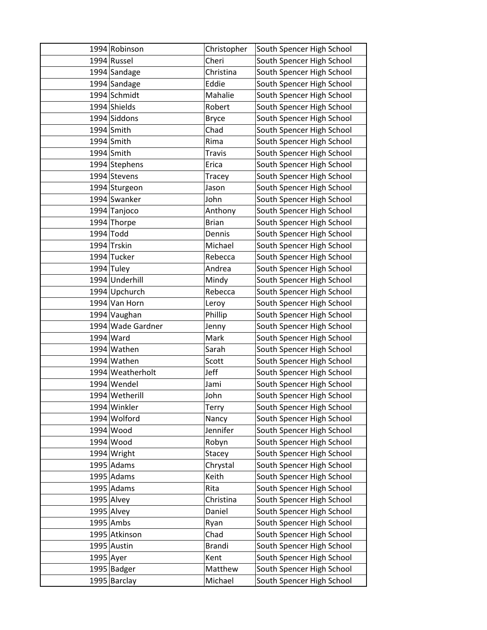|           | 1994 Robinson     | Christopher   | South Spencer High School |
|-----------|-------------------|---------------|---------------------------|
|           | 1994 Russel       | Cheri         | South Spencer High School |
|           | 1994 Sandage      | Christina     | South Spencer High School |
|           | 1994 Sandage      | Eddie         | South Spencer High School |
|           | 1994 Schmidt      | Mahalie       | South Spencer High School |
|           | 1994 Shields      | Robert        | South Spencer High School |
|           | 1994 Siddons      | <b>Bryce</b>  | South Spencer High School |
|           | $1994$ Smith      | Chad          | South Spencer High School |
|           | $1994$ Smith      | Rima          | South Spencer High School |
|           | 1994 Smith        | <b>Travis</b> | South Spencer High School |
|           | 1994 Stephens     | Erica         | South Spencer High School |
|           | 1994 Stevens      | Tracey        | South Spencer High School |
|           | 1994 Sturgeon     | Jason         | South Spencer High School |
|           | 1994 Swanker      | John          | South Spencer High School |
|           | 1994 Tanjoco      | Anthony       | South Spencer High School |
|           | 1994 Thorpe       | <b>Brian</b>  | South Spencer High School |
|           | $1994$ Todd       | Dennis        | South Spencer High School |
|           | 1994 Trskin       | Michael       | South Spencer High School |
|           | 1994 Tucker       | Rebecca       | South Spencer High School |
|           | $1994$ Tuley      | Andrea        | South Spencer High School |
|           | 1994 Underhill    | Mindy         | South Spencer High School |
|           | 1994 Upchurch     | Rebecca       | South Spencer High School |
|           | 1994 Van Horn     | Leroy         | South Spencer High School |
|           | 1994 Vaughan      | Phillip       | South Spencer High School |
|           | 1994 Wade Gardner | Jenny         | South Spencer High School |
|           | $1994$ Ward       | Mark          | South Spencer High School |
|           | 1994 Wathen       | Sarah         | South Spencer High School |
|           | 1994 Wathen       | Scott         | South Spencer High School |
|           | 1994 Weatherholt  | Jeff          | South Spencer High School |
|           | 1994 Wendel       | Jami          | South Spencer High School |
|           | 1994 Wetherill    | John          | South Spencer High School |
|           | 1994 Winkler      | <b>Terry</b>  | South Spencer High School |
|           | 1994 Wolford      | Nancy         | South Spencer High School |
|           | 1994 Wood         | Jennifer      | South Spencer High School |
|           | 1994 Wood         | Robyn         | South Spencer High School |
|           | 1994 Wright       | Stacey        | South Spencer High School |
|           | $1995$ Adams      | Chrystal      | South Spencer High School |
|           | $1995$ Adams      | Keith         | South Spencer High School |
|           | $1995$ Adams      | Rita          | South Spencer High School |
|           | 1995 Alvey        | Christina     | South Spencer High School |
|           | $1995$ Alvey      | Daniel        | South Spencer High School |
|           | 1995 Ambs         | Ryan          | South Spencer High School |
|           | 1995 Atkinson     | Chad          | South Spencer High School |
|           | 1995 Austin       | <b>Brandi</b> | South Spencer High School |
| 1995 Ayer |                   | Kent          | South Spencer High School |
|           | 1995 Badger       | Matthew       | South Spencer High School |
|           | 1995 Barclay      | Michael       | South Spencer High School |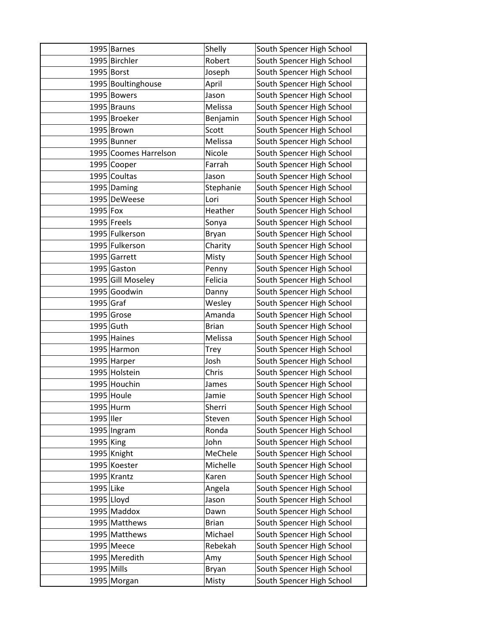|              | 1995 Barnes           | Shelly       | South Spencer High School |
|--------------|-----------------------|--------------|---------------------------|
|              | 1995 Birchler         | Robert       | South Spencer High School |
|              | 1995 Borst            | Joseph       | South Spencer High School |
|              | 1995 Boultinghouse    | April        | South Spencer High School |
|              | 1995 Bowers           | Jason        | South Spencer High School |
|              | 1995 Brauns           | Melissa      | South Spencer High School |
|              | 1995 Broeker          | Benjamin     | South Spencer High School |
|              | 1995 Brown            | Scott        | South Spencer High School |
|              | 1995 Bunner           | Melissa      | South Spencer High School |
|              | 1995 Coomes Harrelson | Nicole       | South Spencer High School |
|              | 1995 Cooper           | Farrah       | South Spencer High School |
|              | 1995 Coultas          | Jason        | South Spencer High School |
|              | 1995 Daming           | Stephanie    | South Spencer High School |
|              | 1995 DeWeese          | Lori         | South Spencer High School |
| 1995 Fox     |                       | Heather      | South Spencer High School |
|              | 1995 Freels           | Sonya        | South Spencer High School |
|              | 1995 Fulkerson        | Bryan        | South Spencer High School |
|              | 1995 Fulkerson        | Charity      | South Spencer High School |
|              | 1995 Garrett          | Misty        | South Spencer High School |
|              | 1995 Gaston           | Penny        | South Spencer High School |
|              | 1995 Gill Moseley     | Felicia      | South Spencer High School |
|              | 1995 Goodwin          | Danny        | South Spencer High School |
| $1995$ Graf  |                       | Wesley       | South Spencer High School |
|              | 1995 Grose            | Amanda       | South Spencer High School |
| 1995 Guth    |                       | <b>Brian</b> | South Spencer High School |
|              | 1995 Haines           | Melissa      | South Spencer High School |
|              | 1995 Harmon           | Trey         | South Spencer High School |
|              | 1995 Harper           | Josh         | South Spencer High School |
|              | 1995 Holstein         | Chris        | South Spencer High School |
|              | 1995 Houchin          | James        | South Spencer High School |
|              | 1995 Houle            | Jamie        | South Spencer High School |
|              | 1995 Hurm             | Sherri       | South Spencer High School |
| 1995 Iler    |                       | Steven       | South Spencer High School |
|              | 1995 Ingram           | Ronda        | South Spencer High School |
| 1995 King    |                       | John         | South Spencer High School |
|              | 1995 Knight           | MeChele      | South Spencer High School |
|              | 1995 Koester          | Michelle     | South Spencer High School |
|              | 1995 Krantz           | Karen        | South Spencer High School |
| 1995 Like    |                       | Angela       | South Spencer High School |
|              | 1995 Lloyd            | Jason        | South Spencer High School |
|              | 1995 Maddox           | Dawn         | South Spencer High School |
|              | 1995 Matthews         | <b>Brian</b> | South Spencer High School |
|              | 1995 Matthews         | Michael      | South Spencer High School |
|              | $1995$ Meece          | Rebekah      | South Spencer High School |
|              | 1995 Meredith         | Amy          | South Spencer High School |
| $1995$ Mills |                       | Bryan        | South Spencer High School |
|              | 1995 Morgan           | Misty        | South Spencer High School |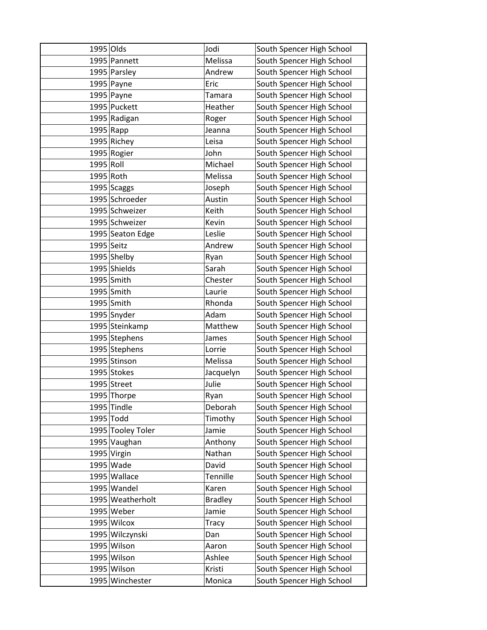| 1995 Olds   |                   | Jodi           | South Spencer High School |
|-------------|-------------------|----------------|---------------------------|
|             | 1995 Pannett      | Melissa        | South Spencer High School |
|             | 1995 Parsley      | Andrew         | South Spencer High School |
|             | $1995$ Payne      | Eric           | South Spencer High School |
|             | $1995$ Payne      | <b>Tamara</b>  | South Spencer High School |
|             | 1995 Puckett      | Heather        | South Spencer High School |
|             | 1995 Radigan      | Roger          | South Spencer High School |
| $1995$ Rapp |                   | Jeanna         | South Spencer High School |
|             | 1995 Richey       | Leisa          | South Spencer High School |
|             | 1995 Rogier       | John           | South Spencer High School |
| 1995 Roll   |                   | Michael        | South Spencer High School |
| 1995 Roth   |                   | Melissa        | South Spencer High School |
|             | 1995 Scaggs       | Joseph         | South Spencer High School |
|             | 1995 Schroeder    | Austin         | South Spencer High School |
|             | 1995 Schweizer    | Keith          | South Spencer High School |
|             | 1995 Schweizer    | Kevin          | South Spencer High School |
|             | 1995 Seaton Edge  | Leslie         | South Spencer High School |
| 1995 Seitz  |                   | Andrew         | South Spencer High School |
|             | $1995$ Shelby     | Ryan           | South Spencer High School |
|             | 1995 Shields      | Sarah          | South Spencer High School |
|             | $1995$ Smith      | Chester        | South Spencer High School |
|             | $1995$ Smith      | Laurie         | South Spencer High School |
|             | $1995$ Smith      | Rhonda         | South Spencer High School |
|             | 1995 Snyder       | Adam           | South Spencer High School |
|             | 1995 Steinkamp    | Matthew        | South Spencer High School |
|             | 1995 Stephens     | James          | South Spencer High School |
|             | 1995 Stephens     | Lorrie         | South Spencer High School |
|             | 1995 Stinson      | Melissa        | South Spencer High School |
|             | 1995 Stokes       | Jacquelyn      | South Spencer High School |
|             | 1995 Street       | Julie          | South Spencer High School |
|             | 1995 Thorpe       | Ryan           | South Spencer High School |
|             | 1995 Tindle       | Deborah        | South Spencer High School |
|             | 1995 Todd         | Timothy        | South Spencer High School |
|             | 1995 Tooley Toler | Jamie          | South Spencer High School |
|             | 1995 Vaughan      | Anthony        | South Spencer High School |
|             | 1995 Virgin       | Nathan         | South Spencer High School |
|             | 1995 Wade         | David          | South Spencer High School |
|             | 1995 Wallace      | Tennille       | South Spencer High School |
|             | 1995 Wandel       | Karen          | South Spencer High School |
|             | 1995 Weatherholt  | <b>Bradley</b> | South Spencer High School |
|             | 1995 Weber        | Jamie          | South Spencer High School |
|             | 1995 Wilcox       | <b>Tracy</b>   | South Spencer High School |
|             | 1995 Wilczynski   | Dan            | South Spencer High School |
|             | 1995 Wilson       | Aaron          | South Spencer High School |
|             | 1995 Wilson       | Ashlee         | South Spencer High School |
|             | 1995 Wilson       | Kristi         | South Spencer High School |
|             | 1995 Winchester   | Monica         | South Spencer High School |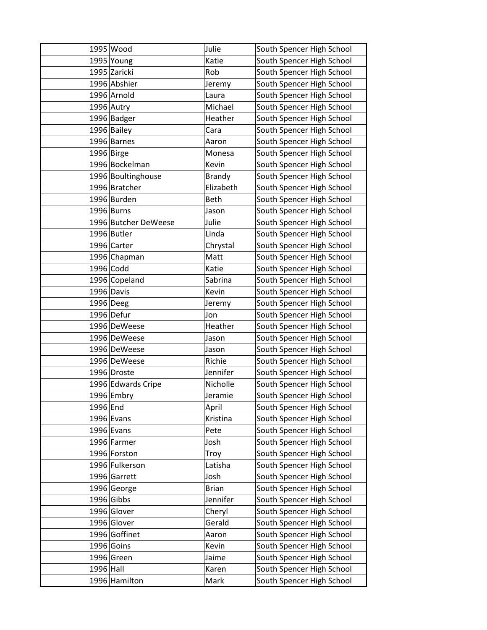|           | 1995 Wood            | Julie         | South Spencer High School |
|-----------|----------------------|---------------|---------------------------|
|           | 1995 Young           | Katie         | South Spencer High School |
|           | 1995 Zaricki         | Rob           | South Spencer High School |
|           | 1996 Abshier         | Jeremy        | South Spencer High School |
|           | 1996 Arnold          | Laura         | South Spencer High School |
|           | 1996 Autry           | Michael       | South Spencer High School |
|           | 1996 Badger          | Heather       | South Spencer High School |
|           | 1996 Bailey          | Cara          | South Spencer High School |
|           | 1996 Barnes          | Aaron         | South Spencer High School |
|           | 1996 Birge           | Monesa        | South Spencer High School |
|           | 1996 Bockelman       | Kevin         | South Spencer High School |
|           | 1996 Boultinghouse   | <b>Brandy</b> | South Spencer High School |
|           | 1996 Bratcher        | Elizabeth     | South Spencer High School |
|           | 1996 Burden          | Beth          | South Spencer High School |
|           | $1996$ Burns         | Jason         | South Spencer High School |
|           | 1996 Butcher DeWeese | Julie         | South Spencer High School |
|           | 1996 Butler          | Linda         | South Spencer High School |
|           | 1996 Carter          | Chrystal      | South Spencer High School |
|           | 1996 Chapman         | Matt          | South Spencer High School |
|           | 1996 Codd            | Katie         | South Spencer High School |
|           | 1996 Copeland        | Sabrina       | South Spencer High School |
|           | 1996 Davis           | Kevin         | South Spencer High School |
|           | 1996 Deeg            | Jeremy        | South Spencer High School |
|           | 1996 Defur           | Jon           | South Spencer High School |
|           | 1996 DeWeese         | Heather       | South Spencer High School |
|           | 1996 DeWeese         | Jason         | South Spencer High School |
|           | 1996 DeWeese         | Jason         | South Spencer High School |
|           | 1996 DeWeese         | Richie        | South Spencer High School |
|           | 1996 Droste          | Jennifer      | South Spencer High School |
|           | 1996 Edwards Cripe   | Nicholle      | South Spencer High School |
|           | 1996 Embry           | Jeramie       | South Spencer High School |
| 1996 End  |                      | April         | South Spencer High School |
|           | $1996$ Evans         | Kristina      | South Spencer High School |
|           | 1996 Evans           | Pete          | South Spencer High School |
|           | 1996 Farmer          | Josh          | South Spencer High School |
|           | 1996 Forston         | Troy          | South Spencer High School |
|           | 1996 Fulkerson       | Latisha       | South Spencer High School |
|           | 1996 Garrett         | Josh          | South Spencer High School |
|           | 1996 George          | <b>Brian</b>  | South Spencer High School |
|           | $1996$ Gibbs         | Jennifer      | South Spencer High School |
|           | 1996 Glover          | Cheryl        | South Spencer High School |
|           | 1996 Glover          | Gerald        | South Spencer High School |
|           | 1996 Goffinet        | Aaron         | South Spencer High School |
|           | 1996 Goins           | Kevin         | South Spencer High School |
|           | 1996 Green           | Jaime         | South Spencer High School |
| 1996 Hall |                      | Karen         | South Spencer High School |
|           | 1996 Hamilton        | Mark          | South Spencer High School |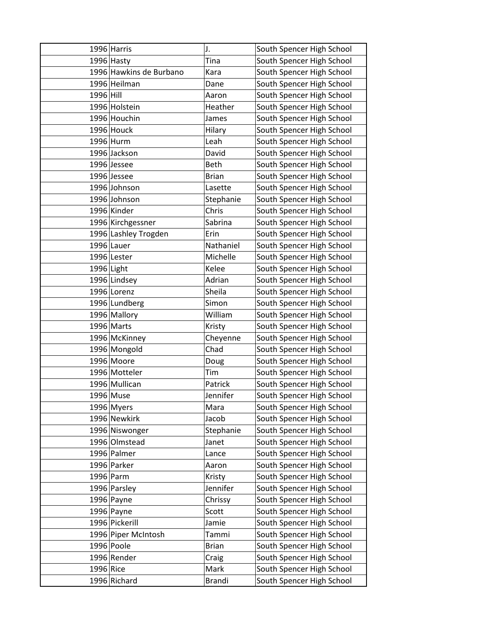|              | 1996 Harris             | J.            | South Spencer High School |
|--------------|-------------------------|---------------|---------------------------|
|              | $1996$ Hasty            | Tina          | South Spencer High School |
|              | 1996 Hawkins de Burbano | Kara          | South Spencer High School |
|              | 1996 Heilman            | Dane          | South Spencer High School |
| 1996 Hill    |                         | Aaron         | South Spencer High School |
|              | 1996 Holstein           | Heather       | South Spencer High School |
|              | 1996 Houchin            | James         | South Spencer High School |
|              | 1996 Houck              | Hilary        | South Spencer High School |
|              | 1996 Hurm               | Leah          | South Spencer High School |
|              | 1996 Jackson            | David         | South Spencer High School |
|              | 1996 Jessee             | Beth          | South Spencer High School |
|              | 1996 Jessee             | <b>Brian</b>  | South Spencer High School |
|              | 1996 Johnson            | Lasette       | South Spencer High School |
|              | 1996 Johnson            | Stephanie     | South Spencer High School |
|              | 1996 Kinder             | Chris         | South Spencer High School |
|              | 1996 Kirchgessner       | Sabrina       | South Spencer High School |
|              | 1996 Lashley Trogden    | Erin          | South Spencer High School |
|              | 1996 Lauer              | Nathaniel     | South Spencer High School |
|              | 1996 Lester             | Michelle      | South Spencer High School |
| $1996$ Light |                         | Kelee         | South Spencer High School |
|              | 1996 Lindsey            | Adrian        | South Spencer High School |
|              | 1996 Lorenz             | Sheila        | South Spencer High School |
|              | 1996 Lundberg           | Simon         | South Spencer High School |
|              | 1996 Mallory            | William       | South Spencer High School |
|              | 1996 Marts              | Kristy        | South Spencer High School |
|              | 1996 McKinney           | Cheyenne      | South Spencer High School |
|              | 1996 Mongold            | Chad          | South Spencer High School |
|              | 1996 Moore              | Doug          | South Spencer High School |
|              | 1996 Motteler           | Tim           | South Spencer High School |
|              | 1996 Mullican           | Patrick       | South Spencer High School |
|              | 1996 Muse               | Jennifer      | South Spencer High School |
|              | 1996 Myers              | Mara          | South Spencer High School |
|              | 1996 Newkirk            | Jacob         | South Spencer High School |
|              | 1996 Niswonger          | Stephanie     | South Spencer High School |
|              | 1996 Olmstead           | Janet         | South Spencer High School |
|              | 1996 Palmer             | Lance         | South Spencer High School |
|              | 1996 Parker             | Aaron         | South Spencer High School |
|              | 1996 Parm               | Kristy        | South Spencer High School |
|              | 1996 Parsley            | Jennifer      | South Spencer High School |
|              | $1996$ Payne            | Chrissy       | South Spencer High School |
|              | $1996$ Payne            | Scott         | South Spencer High School |
|              | 1996 Pickerill          | Jamie         | South Spencer High School |
|              | 1996 Piper McIntosh     | Tammi         | South Spencer High School |
|              | 1996 Poole              | <b>Brian</b>  | South Spencer High School |
|              | 1996 Render             | Craig         | South Spencer High School |
| 1996 Rice    |                         | Mark          | South Spencer High School |
|              | 1996 Richard            | <b>Brandi</b> | South Spencer High School |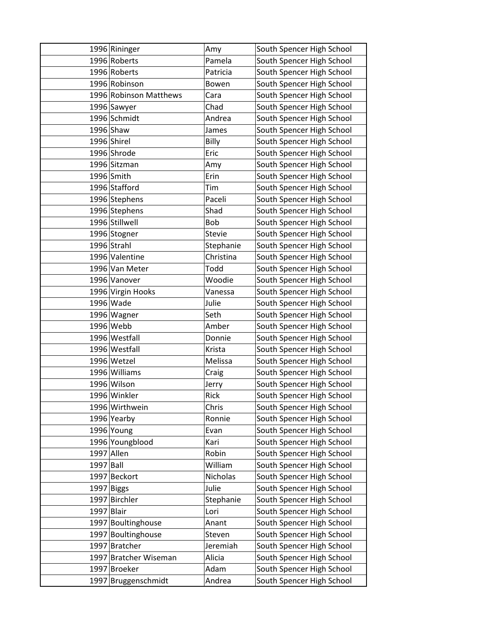|            | 1996 Rininger          | Amy           | South Spencer High School |
|------------|------------------------|---------------|---------------------------|
|            | 1996 Roberts           | Pamela        | South Spencer High School |
|            | 1996 Roberts           | Patricia      | South Spencer High School |
|            | 1996 Robinson          | Bowen         | South Spencer High School |
|            | 1996 Robinson Matthews | Cara          | South Spencer High School |
|            | 1996 Sawyer            | Chad          | South Spencer High School |
|            | 1996 Schmidt           | Andrea        | South Spencer High School |
|            | 1996 Shaw              | James         | South Spencer High School |
|            | 1996 Shirel            | Billy         | South Spencer High School |
|            | 1996 Shrode            | Eric          | South Spencer High School |
|            | 1996 Sitzman           | Amy           | South Spencer High School |
|            | 1996 Smith             | Erin          | South Spencer High School |
|            | 1996 Stafford          | Tim           | South Spencer High School |
|            | 1996 Stephens          | Paceli        | South Spencer High School |
|            | 1996 Stephens          | Shad          | South Spencer High School |
|            | 1996 Stillwell         | Bob           | South Spencer High School |
|            | 1996 Stogner           | <b>Stevie</b> | South Spencer High School |
|            | 1996 Strahl            | Stephanie     | South Spencer High School |
|            | 1996 Valentine         | Christina     | South Spencer High School |
|            | 1996 Van Meter         | Todd          | South Spencer High School |
|            | 1996 Vanover           | Woodie        | South Spencer High School |
|            | 1996 Virgin Hooks      | Vanessa       | South Spencer High School |
|            | 1996 Wade              | Julie         | South Spencer High School |
|            | 1996 Wagner            | Seth          | South Spencer High School |
|            | 1996 Webb              | Amber         | South Spencer High School |
|            | 1996 Westfall          | Donnie        | South Spencer High School |
|            | 1996 Westfall          | Krista        | South Spencer High School |
|            | 1996 Wetzel            | Melissa       | South Spencer High School |
|            | 1996 Williams          | Craig         | South Spencer High School |
|            | 1996 Wilson            | Jerry         | South Spencer High School |
|            | 1996 Winkler           | Rick          | South Spencer High School |
|            | 1996 Wirthwein         | Chris         | South Spencer High School |
|            | 1996 Yearby            | Ronnie        | South Spencer High School |
|            | 1996 Young             | Evan          | South Spencer High School |
|            | 1996 Youngblood        | Kari          | South Spencer High School |
|            | 1997 Allen             | Robin         | South Spencer High School |
| 1997 Ball  |                        | William       | South Spencer High School |
|            | 1997 Beckort           | Nicholas      | South Spencer High School |
|            | $1997$ Biggs           | Julie         | South Spencer High School |
|            | 1997 Birchler          | Stephanie     | South Spencer High School |
| 1997 Blair |                        | Lori          | South Spencer High School |
|            | 1997 Boultinghouse     | Anant         | South Spencer High School |
|            | 1997 Boultinghouse     | Steven        | South Spencer High School |
|            | 1997 Bratcher          | Jeremiah      | South Spencer High School |
|            | 1997 Bratcher Wiseman  | Alicia        | South Spencer High School |
|            | 1997 Broeker           | Adam          | South Spencer High School |
|            | 1997 Bruggenschmidt    | Andrea        | South Spencer High School |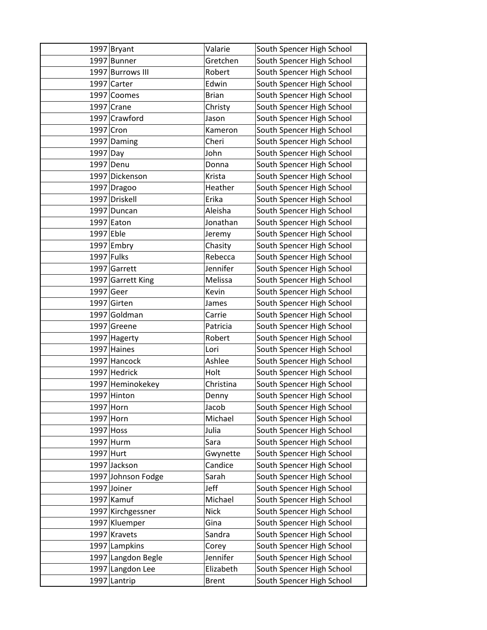|             | $1997$ Bryant      | Valarie      | South Spencer High School |
|-------------|--------------------|--------------|---------------------------|
|             | 1997 Bunner        | Gretchen     | South Spencer High School |
|             | 1997 Burrows III   | Robert       | South Spencer High School |
|             | 1997 Carter        | Edwin        | South Spencer High School |
|             | 1997 Coomes        | <b>Brian</b> | South Spencer High School |
|             | $1997$ Crane       | Christy      | South Spencer High School |
|             | 1997 Crawford      | Jason        | South Spencer High School |
| 1997 Cron   |                    | Kameron      | South Spencer High School |
|             | 1997 Daming        | Cheri        | South Spencer High School |
| $1997$ Day  |                    | John         | South Spencer High School |
|             | 1997 Denu          | Donna        | South Spencer High School |
|             | 1997 Dickenson     | Krista       | South Spencer High School |
|             | 1997 Dragoo        | Heather      | South Spencer High School |
|             | 1997 Driskell      | Erika        | South Spencer High School |
|             | 1997 Duncan        | Aleisha      | South Spencer High School |
|             | $1997$ Eaton       | Jonathan     | South Spencer High School |
| $1997$ Eble |                    | Jeremy       | South Spencer High School |
|             | $1997$ Embry       | Chasity      | South Spencer High School |
| 1997 Fulks  |                    | Rebecca      | South Spencer High School |
|             | 1997 Garrett       | Jennifer     | South Spencer High School |
|             | 1997 Garrett King  | Melissa      | South Spencer High School |
| $1997$ Geer |                    | Kevin        | South Spencer High School |
|             | 1997 Girten        | James        | South Spencer High School |
|             | 1997 Goldman       | Carrie       | South Spencer High School |
|             | 1997 Greene        | Patricia     | South Spencer High School |
|             | 1997 Hagerty       | Robert       | South Spencer High School |
|             | 1997 Haines        | Lori         | South Spencer High School |
|             | 1997 Hancock       | Ashlee       | South Spencer High School |
|             | 1997 Hedrick       | Holt         | South Spencer High School |
|             | 1997 Heminokekey   | Christina    | South Spencer High School |
|             | 1997 Hinton        | Denny        | South Spencer High School |
| 1997 Horn   |                    | Jacob        | South Spencer High School |
| $1997$ Horn |                    | Michael      | South Spencer High School |
| 1997 Hoss   |                    | Julia        | South Spencer High School |
|             | 1997 Hurm          | Sara         | South Spencer High School |
| 1997 Hurt   |                    | Gwynette     | South Spencer High School |
|             | 1997 Jackson       | Candice      | South Spencer High School |
|             | 1997 Johnson Fodge | Sarah        | South Spencer High School |
|             | 1997 Joiner        | Jeff         | South Spencer High School |
|             | $1997$ Kamuf       | Michael      | South Spencer High School |
|             | 1997 Kirchgessner  | <b>Nick</b>  | South Spencer High School |
|             | 1997 Kluemper      | Gina         | South Spencer High School |
|             | 1997 Kravets       | Sandra       | South Spencer High School |
|             | 1997 Lampkins      | Corey        | South Spencer High School |
|             | 1997 Langdon Begle | Jennifer     | South Spencer High School |
|             | 1997 Langdon Lee   | Elizabeth    | South Spencer High School |
|             | 1997 Lantrip       | <b>Brent</b> | South Spencer High School |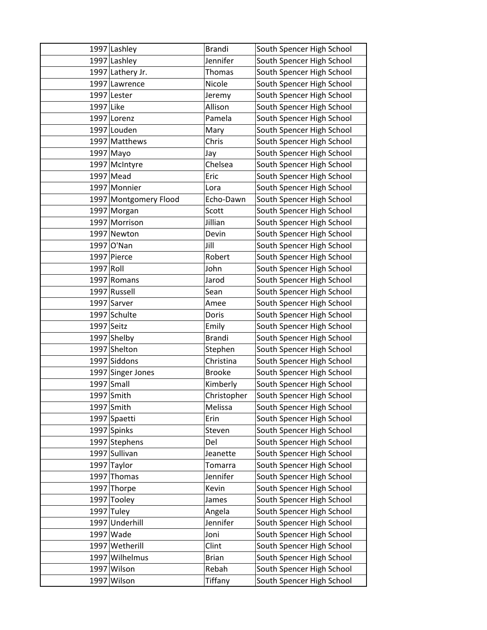|              | 1997 Lashley          | <b>Brandi</b> | South Spencer High School |
|--------------|-----------------------|---------------|---------------------------|
|              | 1997 Lashley          | Jennifer      | South Spencer High School |
|              | 1997 Lathery Jr.      | Thomas        | South Spencer High School |
|              | 1997 Lawrence         | Nicole        | South Spencer High School |
|              | 1997 Lester           | Jeremy        | South Spencer High School |
| 1997 Like    |                       | Allison       | South Spencer High School |
|              | 1997 Lorenz           | Pamela        | South Spencer High School |
|              | 1997 Louden           | Mary          | South Spencer High School |
|              | 1997 Matthews         | Chris         | South Spencer High School |
|              | 1997 Mayo             | Jay           | South Spencer High School |
|              | 1997 McIntyre         | Chelsea       | South Spencer High School |
|              | $1997$ Mead           | Eric          | South Spencer High School |
|              | 1997 Monnier          | Lora          | South Spencer High School |
|              | 1997 Montgomery Flood | Echo-Dawn     | South Spencer High School |
|              | 1997 Morgan           | Scott         | South Spencer High School |
|              | 1997 Morrison         | Jillian       | South Spencer High School |
|              | 1997 Newton           | Devin         | South Spencer High School |
|              | 1997 O'Nan            | Jill          | South Spencer High School |
|              | 1997 Pierce           | Robert        | South Spencer High School |
| 1997 Roll    |                       | John          | South Spencer High School |
|              | 1997 Romans           | Jarod         | South Spencer High School |
|              | 1997 Russell          | Sean          | South Spencer High School |
|              | 1997 Sarver           | Amee          | South Spencer High School |
|              | 1997 Schulte          | Doris         | South Spencer High School |
| $1997$ Seitz |                       | Emily         | South Spencer High School |
|              | 1997 Shelby           | <b>Brandi</b> | South Spencer High School |
|              | 1997 Shelton          | Stephen       | South Spencer High School |
|              | 1997 Siddons          | Christina     | South Spencer High School |
|              | 1997 Singer Jones     | <b>Brooke</b> | South Spencer High School |
|              | $1997$ Small          | Kimberly      | South Spencer High School |
|              | $1997$ Smith          | Christopher   | South Spencer High School |
|              | $1997$ Smith          | Melissa       | South Spencer High School |
|              | 1997 Spaetti          | Erin          | South Spencer High School |
|              | 1997 Spinks           | Steven        | South Spencer High School |
|              | 1997 Stephens         | Del           | South Spencer High School |
|              | 1997 Sullivan         | Jeanette      | South Spencer High School |
|              | 1997 Taylor           | Tomarra       | South Spencer High School |
|              | 1997 Thomas           | Jennifer      | South Spencer High School |
|              | 1997 Thorpe           | Kevin         | South Spencer High School |
|              | 1997 Tooley           | James         | South Spencer High School |
|              | $1997$ Tuley          | Angela        | South Spencer High School |
|              | 1997 Underhill        | Jennifer      | South Spencer High School |
|              | 1997 Wade             | Joni          | South Spencer High School |
|              | 1997 Wetherill        | Clint         | South Spencer High School |
|              | 1997 Wilhelmus        | <b>Brian</b>  | South Spencer High School |
|              | 1997 Wilson           | Rebah         | South Spencer High School |
|              | 1997 Wilson           | Tiffany       | South Spencer High School |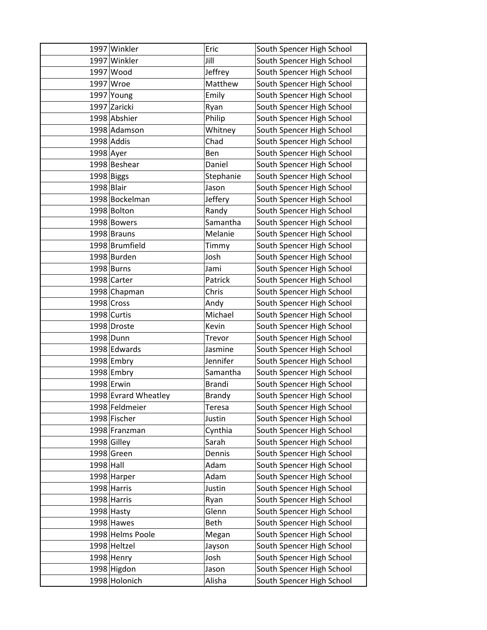|             | 1997 Winkler         | Eric          | South Spencer High School |
|-------------|----------------------|---------------|---------------------------|
|             | 1997 Winkler         | Jill          | South Spencer High School |
|             | 1997 Wood            | Jeffrey       | South Spencer High School |
|             | 1997 Wroe            | Matthew       | South Spencer High School |
|             | 1997 Young           | Emily         | South Spencer High School |
|             | 1997 Zaricki         | Ryan          | South Spencer High School |
|             | 1998 Abshier         | Philip        | South Spencer High School |
|             | 1998 Adamson         | Whitney       | South Spencer High School |
|             | $1998$ Addis         | Chad          | South Spencer High School |
| $1998$ Ayer |                      | Ben           | South Spencer High School |
|             | 1998 Beshear         | Daniel        | South Spencer High School |
|             | 1998 Biggs           | Stephanie     | South Spencer High School |
| 1998 Blair  |                      | Jason         | South Spencer High School |
|             | 1998 Bockelman       | Jeffery       | South Spencer High School |
|             | 1998 Bolton          | Randy         | South Spencer High School |
|             | 1998 Bowers          | Samantha      | South Spencer High School |
|             | 1998 Brauns          | Melanie       | South Spencer High School |
|             | 1998 Brumfield       | Timmy         | South Spencer High School |
|             | 1998 Burden          | Josh          | South Spencer High School |
|             | 1998 Burns           | Jami          | South Spencer High School |
|             | 1998 Carter          | Patrick       | South Spencer High School |
|             | 1998 Chapman         | Chris         | South Spencer High School |
|             | $1998$ Cross         | Andy          | South Spencer High School |
|             | 1998 Curtis          | Michael       | South Spencer High School |
|             | 1998 Droste          | Kevin         | South Spencer High School |
|             | 1998 Dunn            | Trevor        | South Spencer High School |
|             | 1998 Edwards         | Jasmine       | South Spencer High School |
|             | 1998 Embry           | Jennifer      | South Spencer High School |
|             | $1998$ Embry         | Samantha      | South Spencer High School |
|             | 1998 Erwin           | <b>Brandi</b> | South Spencer High School |
|             | 1998 Evrard Wheatley | <b>Brandy</b> | South Spencer High School |
|             | 1998 Feldmeier       | <b>Teresa</b> | South Spencer High School |
|             | 1998 Fischer         | Justin        | South Spencer High School |
|             | 1998 Franzman        | Cynthia       | South Spencer High School |
|             | 1998 Gilley          | Sarah         | South Spencer High School |
|             | 1998 Green           | Dennis        | South Spencer High School |
| $1998$ Hall |                      | Adam          | South Spencer High School |
|             | 1998 Harper          | Adam          | South Spencer High School |
|             | 1998 Harris          | Justin        | South Spencer High School |
|             | 1998 Harris          | Ryan          | South Spencer High School |
|             | $1998$ Hasty         | Glenn         | South Spencer High School |
|             | $1998$ Hawes         | Beth          | South Spencer High School |
|             | 1998 Helms Poole     | Megan         | South Spencer High School |
|             | 1998 Heltzel         | Jayson        | South Spencer High School |
|             | 1998 Henry           | Josh          | South Spencer High School |
|             | 1998 Higdon          | Jason         | South Spencer High School |
|             | 1998 Holonich        | Alisha        | South Spencer High School |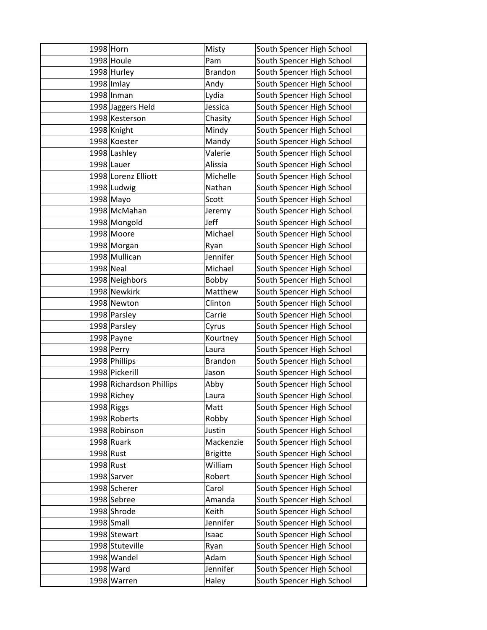| 1998 Horn |                          | Misty           | South Spencer High School |
|-----------|--------------------------|-----------------|---------------------------|
|           | 1998 Houle               | Pam             | South Spencer High School |
|           | $1998$ Hurley            | <b>Brandon</b>  | South Spencer High School |
|           | $1998$ Imlay             | Andy            | South Spencer High School |
|           | 1998 Inman               | Lydia           | South Spencer High School |
|           | 1998 Jaggers Held        | Jessica         | South Spencer High School |
|           | 1998 Kesterson           | Chasity         | South Spencer High School |
|           | 1998 Knight              | Mindy           | South Spencer High School |
|           | 1998 Koester             | Mandy           | South Spencer High School |
|           | 1998 Lashley             | Valerie         | South Spencer High School |
|           | $1998$ Lauer             | Alissia         | South Spencer High School |
|           | 1998 Lorenz Elliott      | Michelle        | South Spencer High School |
|           | 1998 Ludwig              | Nathan          | South Spencer High School |
|           | $1998$ Mayo              | Scott           | South Spencer High School |
|           | 1998 McMahan             | Jeremy          | South Spencer High School |
|           | 1998 Mongold             | Jeff            | South Spencer High School |
|           | 1998 Moore               | Michael         | South Spencer High School |
|           | 1998 Morgan              | Ryan            | South Spencer High School |
|           | 1998 Mullican            | Jennifer        | South Spencer High School |
| 1998 Neal |                          | Michael         | South Spencer High School |
|           | 1998 Neighbors           | Bobby           | South Spencer High School |
|           | 1998 Newkirk             | Matthew         | South Spencer High School |
|           | 1998 Newton              | Clinton         | South Spencer High School |
|           | 1998 Parsley             | Carrie          | South Spencer High School |
|           | 1998 Parsley             | Cyrus           | South Spencer High School |
|           | $1998$ Payne             | Kourtney        | South Spencer High School |
|           | $1998$ Perry             | Laura           | South Spencer High School |
|           | 1998 Phillips            | <b>Brandon</b>  | South Spencer High School |
|           | 1998 Pickerill           | Jason           | South Spencer High School |
|           | 1998 Richardson Phillips | Abby            | South Spencer High School |
|           | 1998 Richey              | Laura           | South Spencer High School |
|           | 1998 Riggs               | Matt            | South Spencer High School |
|           | 1998 Roberts             | Robby           | South Spencer High School |
|           | 1998 Robinson            | Justin          | South Spencer High School |
|           | $1998$ Ruark             | Mackenzie       | South Spencer High School |
| 1998 Rust |                          | <b>Brigitte</b> | South Spencer High School |
| 1998 Rust |                          | William         | South Spencer High School |
|           | 1998 Sarver              | Robert          | South Spencer High School |
|           | 1998 Scherer             | Carol           | South Spencer High School |
|           | 1998 Sebree              | Amanda          | South Spencer High School |
|           | 1998 Shrode              | Keith           | South Spencer High School |
|           | $1998$ Small             | Jennifer        | South Spencer High School |
|           | 1998 Stewart             | Isaac           | South Spencer High School |
|           | 1998 Stuteville          | Ryan            | South Spencer High School |
|           | 1998 Wandel              | Adam            | South Spencer High School |
|           | 1998 Ward                | Jennifer        | South Spencer High School |
|           | 1998 Warren              | Haley           | South Spencer High School |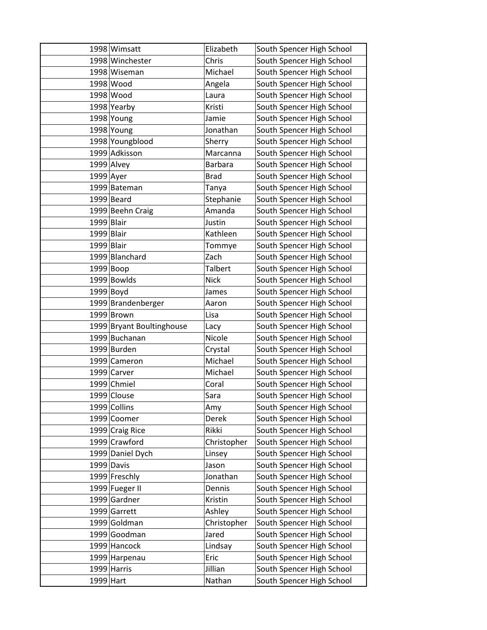|              | 1998 Wimsatt              | Elizabeth      | South Spencer High School |
|--------------|---------------------------|----------------|---------------------------|
|              | 1998 Winchester           | Chris          | South Spencer High School |
|              | 1998 Wiseman              | Michael        | South Spencer High School |
|              | 1998 Wood                 | Angela         | South Spencer High School |
|              | 1998 Wood                 | Laura          | South Spencer High School |
|              | 1998 Yearby               | Kristi         | South Spencer High School |
|              | 1998 Young                | Jamie          | South Spencer High School |
|              | 1998 Young                | Jonathan       | South Spencer High School |
|              | 1998 Youngblood           | Sherry         | South Spencer High School |
|              | 1999 Adkisson             | Marcanna       | South Spencer High School |
|              | $1999$ Alvey              | <b>Barbara</b> | South Spencer High School |
| $1999$ Ayer  |                           | <b>Brad</b>    | South Spencer High School |
|              | 1999 Bateman              | Tanya          | South Spencer High School |
|              | $1999$ Beard              | Stephanie      | South Spencer High School |
|              | 1999 Beehn Craig          | Amanda         | South Spencer High School |
| $1999$ Blair |                           | Justin         | South Spencer High School |
| $1999$ Blair |                           | Kathleen       | South Spencer High School |
| $1999$ Blair |                           | Tommye         | South Spencer High School |
|              | 1999 Blanchard            | Zach           | South Spencer High School |
|              | $1999 $ Boop              | <b>Talbert</b> | South Spencer High School |
|              | 1999 Bowlds               | <b>Nick</b>    | South Spencer High School |
|              | $1999$ Boyd               | James          | South Spencer High School |
|              | 1999 Brandenberger        | Aaron          | South Spencer High School |
|              | 1999 Brown                | Lisa           | South Spencer High School |
|              | 1999 Bryant Boultinghouse | Lacy           | South Spencer High School |
|              | 1999 Buchanan             | Nicole         | South Spencer High School |
|              | 1999 Burden               | Crystal        | South Spencer High School |
|              | 1999 Cameron              | Michael        | South Spencer High School |
|              | 1999 Carver               | Michael        | South Spencer High School |
|              | 1999 Chmiel               | Coral          | South Spencer High School |
|              | 1999 Clouse               | Sara           | South Spencer High School |
|              | 1999 Collins              | Amy            | South Spencer High School |
|              | 1999 Coomer               | Derek          | South Spencer High School |
|              | 1999 Craig Rice           | Rikki          | South Spencer High School |
|              | 1999 Crawford             | Christopher    | South Spencer High School |
|              | 1999 Daniel Dych          | Linsey         | South Spencer High School |
|              | 1999 Davis                | Jason          | South Spencer High School |
|              | 1999 Freschly             | Jonathan       | South Spencer High School |
|              | 1999 Fueger II            | Dennis         | South Spencer High School |
|              | 1999 Gardner              | Kristin        | South Spencer High School |
|              | 1999 Garrett              | Ashley         | South Spencer High School |
|              | 1999 Goldman              | Christopher    | South Spencer High School |
|              | 1999 Goodman              | Jared          | South Spencer High School |
|              | 1999 Hancock              | Lindsay        | South Spencer High School |
|              | 1999 Harpenau             | Eric           | South Spencer High School |
|              | 1999 Harris               | Jillian        | South Spencer High School |
| 1999 Hart    |                           | Nathan         | South Spencer High School |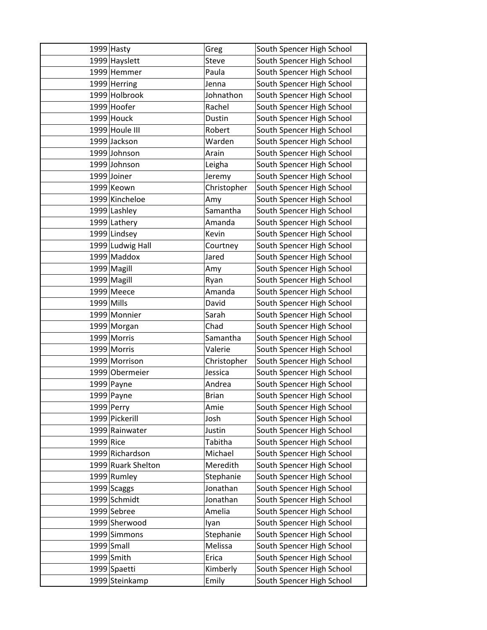|              | 1999 Hasty         | Greg         | South Spencer High School |
|--------------|--------------------|--------------|---------------------------|
|              | 1999 Hayslett      | <b>Steve</b> | South Spencer High School |
|              | 1999 Hemmer        | Paula        | South Spencer High School |
|              | 1999 Herring       | Jenna        | South Spencer High School |
|              | 1999 Holbrook      | Johnathon    | South Spencer High School |
|              | 1999 Hoofer        | Rachel       | South Spencer High School |
|              | $1999$ Houck       | Dustin       | South Spencer High School |
|              | 1999 Houle III     | Robert       | South Spencer High School |
|              | 1999 Jackson       | Warden       | South Spencer High School |
|              | 1999 Johnson       | Arain        | South Spencer High School |
|              | 1999 Johnson       | Leigha       | South Spencer High School |
|              | 1999 Joiner        | Jeremy       | South Spencer High School |
|              | 1999 Keown         | Christopher  | South Spencer High School |
|              | 1999 Kincheloe     | Amy          | South Spencer High School |
|              | 1999 Lashley       | Samantha     | South Spencer High School |
|              | 1999 Lathery       | Amanda       | South Spencer High School |
|              | 1999 Lindsey       | Kevin        | South Spencer High School |
|              | 1999 Ludwig Hall   | Courtney     | South Spencer High School |
|              | 1999 Maddox        | Jared        | South Spencer High School |
|              | 1999 Magill        | Amy          | South Spencer High School |
|              | 1999 Magill        | Ryan         | South Spencer High School |
|              | $1999$ Meece       | Amanda       | South Spencer High School |
| $1999$ Mills |                    | David        | South Spencer High School |
|              | 1999 Monnier       | Sarah        | South Spencer High School |
|              | 1999 Morgan        | Chad         | South Spencer High School |
|              | 1999 Morris        | Samantha     | South Spencer High School |
|              | 1999 Morris        | Valerie      | South Spencer High School |
|              | 1999 Morrison      | Christopher  | South Spencer High School |
|              | 1999 Obermeier     | Jessica      | South Spencer High School |
|              | $1999$ Payne       | Andrea       | South Spencer High School |
|              | $1999$ Payne       | <b>Brian</b> | South Spencer High School |
|              | $1999$ Perry       | Amie         | South Spencer High School |
|              | 1999 Pickerill     | Josh         | South Spencer High School |
|              | 1999 Rainwater     | Justin       | South Spencer High School |
| 1999 Rice    |                    | Tabitha      | South Spencer High School |
|              | 1999 Richardson    | Michael      | South Spencer High School |
|              | 1999 Ruark Shelton | Meredith     | South Spencer High School |
|              | 1999 Rumley        | Stephanie    | South Spencer High School |
|              | $1999$ Scaggs      | Jonathan     | South Spencer High School |
|              | 1999 Schmidt       | Jonathan     | South Spencer High School |
|              | 1999 Sebree        | Amelia       | South Spencer High School |
|              | 1999 Sherwood      | lyan         | South Spencer High School |
|              | 1999 Simmons       | Stephanie    | South Spencer High School |
|              | $1999$ Small       | Melissa      | South Spencer High School |
|              | $1999$ Smith       | Erica        | South Spencer High School |
|              | 1999 Spaetti       | Kimberly     | South Spencer High School |
|              | 1999 Steinkamp     | Emily        | South Spencer High School |